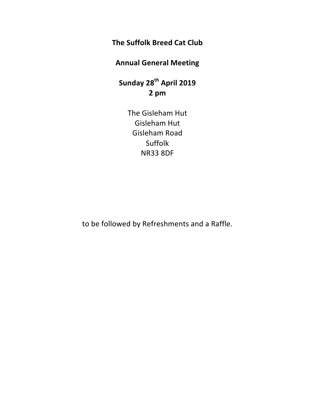# **The Suffolk Breed Cat Club**

# **Annual General Meeting**

**Sunday 28th April 2019 2 pm**

> The Gisleham Hut Gisleham Hut Gisleham Road Suffolk NR33 8DF

to be followed by Refreshments and a Raffle.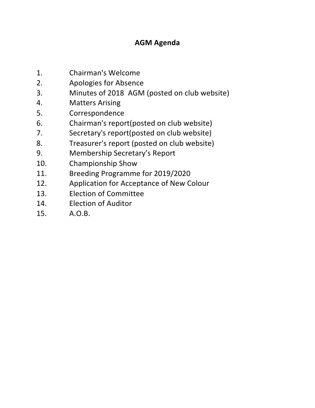# **AGM Agenda**

- 1. Chairman's Welcome
- 2. Apologies for Absence
- 3. Minutes of 2018 AGM (posted on club website)
- 4. Matters Arising
- 5. Correspondence
- 6. Chairman's report(posted on club website)
- 7. Secretary's report(posted on club website)
- 8. Treasurer's report (posted on club website)
- 9. Membership Secretary's Report
- 10. Championship Show
- 11. Breeding Programme for 2019/2020
- 12. Application for Acceptance of New Colour
- 13. Election of Committee
- 14. Election of Auditor
- 15. A.O.B.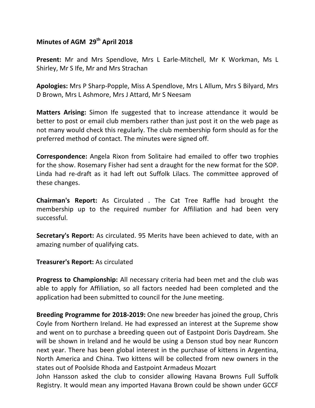# **Minutes of AGM 29th April 2018**

**Present:** Mr and Mrs Spendlove, Mrs L Earle-Mitchell, Mr K Workman, Ms L Shirley, Mr S Ife, Mr and Mrs Strachan

**Apologies:** Mrs P Sharp-Popple, Miss A Spendlove, Mrs L Allum, Mrs S Bilyard, Mrs D Brown, Mrs L Ashmore, Mrs J Attard, Mr S Neesam

**Matters Arising:** Simon Ife suggested that to increase attendance it would be better to post or email club members rather than just post it on the web page as not many would check this regularly. The club membership form should as for the preferred method of contact. The minutes were signed off.

**Correspondence:** Angela Rixon from Solitaire had emailed to offer two trophies for the show. Rosemary Fisher had sent a draught for the new format for the SOP. Linda had re-draft as it had left out Suffolk Lilacs. The committee approved of these changes.

**Chairman's Report:** As Circulated . The Cat Tree Raffle had brought the membership up to the required number for Affiliation and had been very successful.

**Secretary's Report:** As circulated. 95 Merits have been achieved to date, with an amazing number of qualifying cats.

**Treasurer's Report:** As circulated

**Progress to Championship:** All necessary criteria had been met and the club was able to apply for Affiliation, so all factors needed had been completed and the application had been submitted to council for the June meeting.

**Breeding Programme for 2018-2019:** One new breeder has joined the group, Chris Coyle from Northern Ireland. He had expressed an interest at the Supreme show and went on to purchase a breeding queen out of Eastpoint Doris Daydream. She will be shown in Ireland and he would be using a Denson stud boy near Runcorn next year. There has been global interest in the purchase of kittens in Argentina, North America and China. Two kittens will be collected from new owners in the states out of Poolside Rhoda and Eastpoint Armadeus Mozart

John Hansson asked the club to consider allowing Havana Browns Full Suffolk Registry. It would mean any imported Havana Brown could be shown under GCCF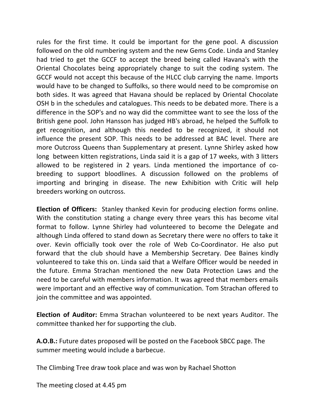rules for the first time. It could be important for the gene pool. A discussion followed on the old numbering system and the new Gems Code. Linda and Stanley had tried to get the GCCF to accept the breed being called Havana's with the Oriental Chocolates being appropriately change to suit the coding system. The GCCF would not accept this because of the HLCC club carrying the name. Imports would have to be changed to Suffolks, so there would need to be compromise on both sides. It was agreed that Havana should be replaced by Oriental Chocolate OSH b in the schedules and catalogues. This needs to be debated more. There is a difference in the SOP's and no way did the committee want to see the loss of the British gene pool. John Hansson has judged HB's abroad, he helped the Suffolk to get recognition, and although this needed to be recognized, it should not influence the present SOP. This needs to be addressed at BAC level. There are more Outcross Queens than Supplementary at present. Lynne Shirley asked how long between kitten registrations, Linda said it is a gap of 17 weeks, with 3 litters allowed to be registered in 2 years. Linda mentioned the importance of cobreeding to support bloodlines. A discussion followed on the problems of importing and bringing in disease. The new Exhibition with Critic will help breeders working on outcross.

**Election of Officers:** Stanley thanked Kevin for producing election forms online. With the constitution stating a change every three years this has become vital format to follow. Lynne Shirley had volunteered to become the Delegate and although Linda offered to stand down as Secretary there were no offers to take it over. Kevin officially took over the role of Web Co-Coordinator. He also put forward that the club should have a Membership Secretary. Dee Baines kindly volunteered to take this on. Linda said that a Welfare Officer would be needed in the future. Emma Strachan mentioned the new Data Protection Laws and the need to be careful with members information. It was agreed that members emails were important and an effective way of communication. Tom Strachan offered to join the committee and was appointed.

**Election of Auditor:** Emma Strachan volunteered to be next years Auditor. The committee thanked her for supporting the club.

**A.O.B.:** Future dates proposed will be posted on the Facebook SBCC page. The summer meeting would include a barbecue.

The Climbing Tree draw took place and was won by Rachael Shotton

The meeting closed at 4.45 pm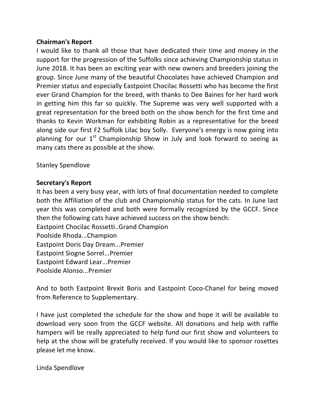## **Chairman's Report**

I would like to thank all those that have dedicated their time and money in the support for the progression of the Suffolks since achieving Championship status in June 2018. It has been an exciting year with new owners and breeders joining the group. Since June many of the beautiful Chocolates have achieved Champion and Premier status and especially Eastpoint Chocilac Rossetti who has become the first ever Grand Champion for the breed, with thanks to Dee Baines for her hard work in getting him this far so quickly. The Supreme was very well supported with a great representation for the breed both on the show bench for the first time and thanks to Kevin Workman for exhibiting Robin as a representative for the breed along side our first F2 Suffolk Lilac boy Solly. Everyone's energy is now going into planning for our  $1<sup>st</sup>$  Championship Show in July and look forward to seeing as many cats there as possible at the show.

Stanley Spendlove

## **Secretary's Report**

It has been a very busy year, with lots of final documentation needed to complete both the Affiliation of the club and Championship status for the cats. In June last year this was completed and both were formally recognized by the GCCF. Since then the following cats have achieved success on the show bench: Eastpoint Chocilac Rossetti..Grand Champion Poolside Rhoda...Champion Eastpoint Doris Day Dream...Premier Eastpoint Siogne Sorrel...Premier Eastpoint Edward Lear...Premier Poolside Alonso...Premier

And to both Eastpoint Brexit Boris and Eastpoint Coco-Chanel for being moved from Reference to Supplementary.

I have just completed the schedule for the show and hope it will be available to download very soon from the GCCF website. All donations and help with raffle hampers will be really appreciated to help fund our first show and volunteers to help at the show will be gratefully received. If you would like to sponsor rosettes please let me know.

Linda Spendlove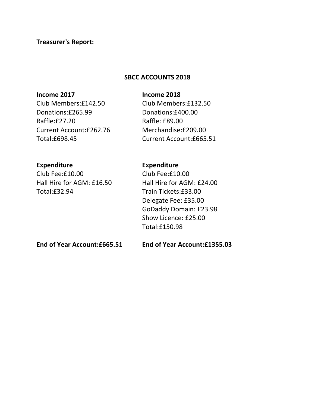## **Treasurer's Report:**

### SBCC ACCOUNTS 2018

#### **Income 2017 Income 2018**

Donations:£265.99 Donations:£400.00 Raffle:£27.20 Raffle: £89.00 Current Account:£262.76 Merchandise:£209.00 Total:£698.45 Current Account:£665.51

Club Members:£142.50 Club Members:£132.50

## **Expenditure Expenditure**

Club Fee:£10.00 Club Fee:£10.00 Hall Hire for AGM: £16.50 Hall Hire for AGM: £24.00 Total:£32.94 Train Tickets:£33.00

Delegate Fee: £35.00 GoDaddy Domain: £23.98 Show Licence: £25.00 Total:£150.98

**End of Year Account:£665.51 End of Year Account:£1355.03**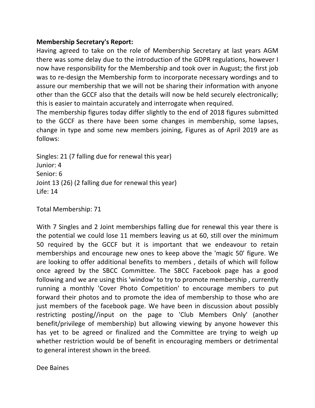## **Membership Secretary's Report:**

Having agreed to take on the role of Membership Secretary at last years AGM there was some delay due to the introduction of the GDPR regulations, however I now have responsibility for the Membership and took over in August; the first job was to re-design the Membership form to incorporate necessary wordings and to assure our membership that we will not be sharing their information with anyone other than the GCCF also that the details will now be held securely electronically; this is easier to maintain accurately and interrogate when required.

The membership figures today differ slightly to the end of 2018 figures submitted to the GCCF as there have been some changes in membership, some lapses, change in type and some new members joining, Figures as of April 2019 are as follows:

Singles: 21 (7 falling due for renewal this year) Junior: 4 Senior: 6 Joint 13 (26) (2 falling due for renewal this year)  $Life: 14$ 

Total Membership: 71

With 7 Singles and 2 Joint memberships falling due for renewal this year there is the potential we could lose 11 members leaving us at 60, still over the minimum 50 required by the GCCF but it is important that we endeavour to retain memberships and encourage new ones to keep above the 'magic 50' figure. We are looking to offer additional benefits to members, details of which will follow once agreed by the SBCC Committee. The SBCC Facebook page has a good following and we are using this 'window' to try to promote membership, currently running a monthly 'Cover Photo Competition' to encourage members to put forward their photos and to promote the idea of membership to those who are just members of the facebook page. We have been in discussion about possibly restricting posting//input on the page to 'Club Members Only' (another benefit/privilege of membership) but allowing viewing by anyone however this has yet to be agreed or finalized and the Committee are trying to weigh up whether restriction would be of benefit in encouraging members or detrimental to general interest shown in the breed.

Dee Baines